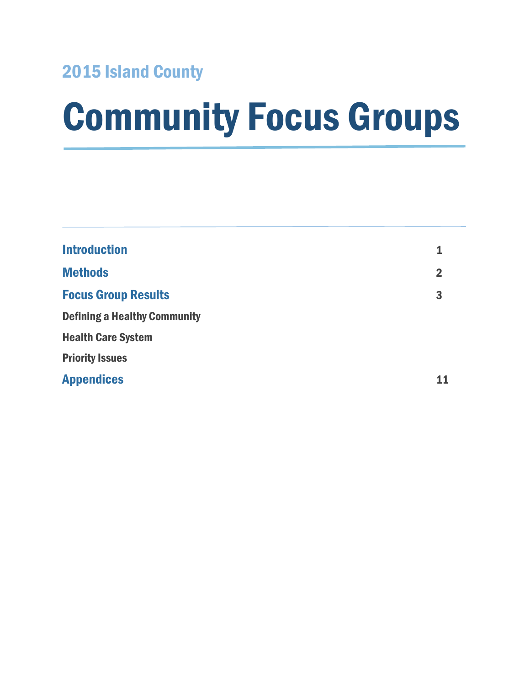### 2015 Island County

# Community Focus Groups

| <b>Introduction</b>                 | 1              |
|-------------------------------------|----------------|
| <b>Methods</b>                      | $\overline{2}$ |
| <b>Focus Group Results</b>          | 3              |
| <b>Defining a Healthy Community</b> |                |
| <b>Health Care System</b>           |                |
| <b>Priority Issues</b>              |                |
| <b>Appendices</b>                   |                |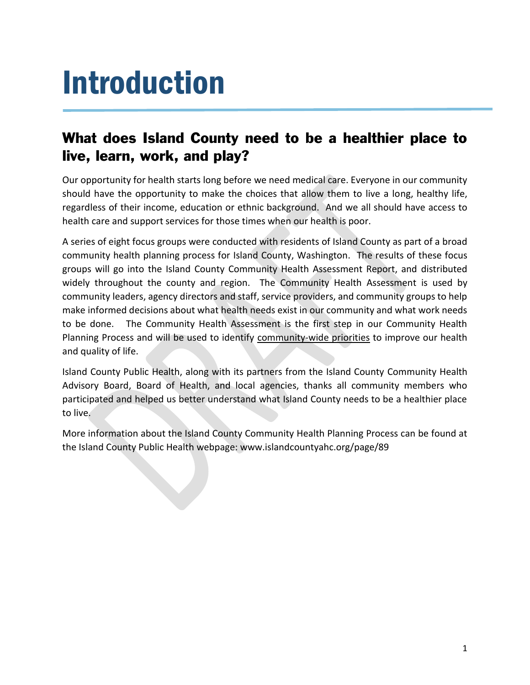# Introduction

### What does Island County need to be a healthier place to live, learn, work, and play?

Our opportunity for health starts long before we need medical care. Everyone in our community should have the opportunity to make the choices that allow them to live a long, healthy life, regardless of their income, education or ethnic background. And we all should have access to health care and support services for those times when our health is poor.

A series of eight focus groups were conducted with residents of Island County as part of a broad community health planning process for Island County, Washington. The results of these focus groups will go into the Island County Community Health Assessment Report, and distributed widely throughout the county and region. The Community Health Assessment is used by community leaders, agency directors and staff, service providers, and community groups to help make informed decisions about what health needs exist in our community and what work needs to be done. The Community Health Assessment is the first step in our Community Health Planning Process and will be used to identify community-wide priorities to improve our health and quality of life.

Island County Public Health, along with its partners from the Island County Community Health Advisory Board, Board of Health, and local agencies, thanks all community members who participated and helped us better understand what Island County needs to be a healthier place to live.

More information about the Island County Community Health Planning Process can be found at the Island County Public Health webpage: www.islandcountyahc.org/page/89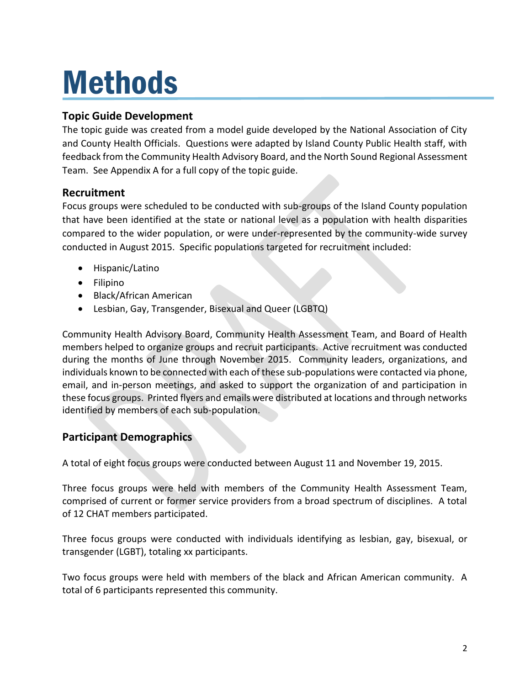# Methods

#### **Topic Guide Development**

The topic guide was created from a model guide developed by the National Association of City and County Health Officials. Questions were adapted by Island County Public Health staff, with feedback from the Community Health Advisory Board, and the North Sound Regional Assessment Team. See Appendix A for a full copy of the topic guide.

#### **Recruitment**

Focus groups were scheduled to be conducted with sub-groups of the Island County population that have been identified at the state or national level as a population with health disparities compared to the wider population, or were under-represented by the community-wide survey conducted in August 2015. Specific populations targeted for recruitment included:

- Hispanic/Latino
- Filipino
- Black/African American
- Lesbian, Gay, Transgender, Bisexual and Queer (LGBTQ)

Community Health Advisory Board, Community Health Assessment Team, and Board of Health members helped to organize groups and recruit participants. Active recruitment was conducted during the months of June through November 2015. Community leaders, organizations, and individuals known to be connected with each of these sub-populations were contacted via phone, email, and in-person meetings, and asked to support the organization of and participation in these focus groups. Printed flyers and emails were distributed at locations and through networks identified by members of each sub-population.

#### **Participant Demographics**

A total of eight focus groups were conducted between August 11 and November 19, 2015.

Three focus groups were held with members of the Community Health Assessment Team, comprised of current or former service providers from a broad spectrum of disciplines. A total of 12 CHAT members participated.

Three focus groups were conducted with individuals identifying as lesbian, gay, bisexual, or transgender (LGBT), totaling xx participants.

Two focus groups were held with members of the black and African American community. A total of 6 participants represented this community.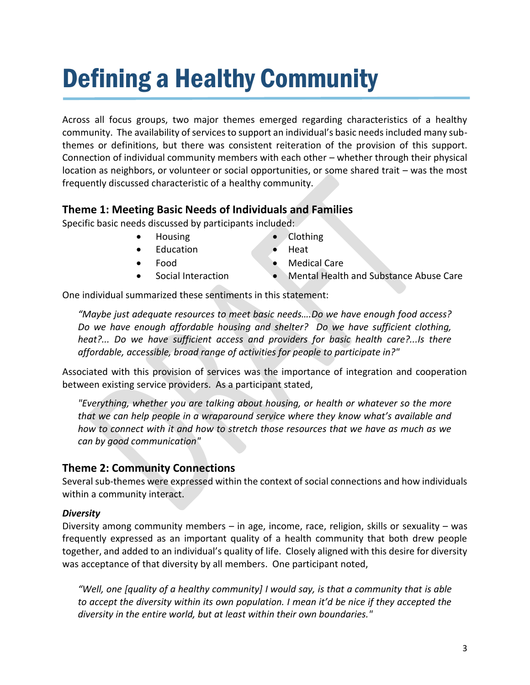## Defining a Healthy Community

Across all focus groups, two major themes emerged regarding characteristics of a healthy community. The availability of services to support an individual's basic needs included many subthemes or definitions, but there was consistent reiteration of the provision of this support. Connection of individual community members with each other – whether through their physical location as neighbors, or volunteer or social opportunities, or some shared trait – was the most frequently discussed characteristic of a healthy community.

#### **Theme 1: Meeting Basic Needs of Individuals and Families**

Specific basic needs discussed by participants included:

- Housing
- Education
- Food
- Social Interaction
- Clothing
- Heat
- Medical Care
- Mental Health and Substance Abuse Care

One individual summarized these sentiments in this statement:

*"Maybe just adequate resources to meet basic needs….Do we have enough food access? Do we have enough affordable housing and shelter? Do we have sufficient clothing, heat?... Do we have sufficient access and providers for basic health care?...Is there affordable, accessible, broad range of activities for people to participate in?"* 

Associated with this provision of services was the importance of integration and cooperation between existing service providers. As a participant stated,

*"Everything, whether you are talking about housing, or health or whatever so the more that we can help people in a wraparound service where they know what's available and how to connect with it and how to stretch those resources that we have as much as we can by good communication"*

#### **Theme 2: Community Connections**

Several sub-themes were expressed within the context of social connections and how individuals within a community interact.

#### *Diversity*

Diversity among community members – in age, income, race, religion, skills or sexuality – was frequently expressed as an important quality of a health community that both drew people together, and added to an individual's quality of life. Closely aligned with this desire for diversity was acceptance of that diversity by all members. One participant noted,

*"Well, one [quality of a healthy community] I would say, is that a community that is able to accept the diversity within its own population. I mean it'd be nice if they accepted the diversity in the entire world, but at least within their own boundaries."*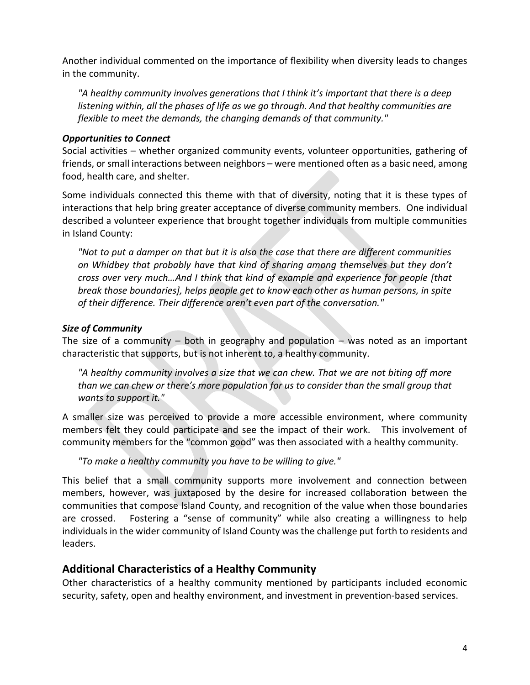Another individual commented on the importance of flexibility when diversity leads to changes in the community.

*"A healthy community involves generations that I think it's important that there is a deep listening within, all the phases of life as we go through. And that healthy communities are flexible to meet the demands, the changing demands of that community."*

#### *Opportunities to Connect*

Social activities – whether organized community events, volunteer opportunities, gathering of friends, or small interactions between neighbors – were mentioned often as a basic need, among food, health care, and shelter.

Some individuals connected this theme with that of diversity, noting that it is these types of interactions that help bring greater acceptance of diverse community members. One individual described a volunteer experience that brought together individuals from multiple communities in Island County:

*"Not to put a damper on that but it is also the case that there are different communities on Whidbey that probably have that kind of sharing among themselves but they don't cross over very much…And I think that kind of example and experience for people [that break those boundaries], helps people get to know each other as human persons, in spite of their difference. Their difference aren't even part of the conversation."*

#### *Size of Community*

The size of a community  $-$  both in geography and population  $-$  was noted as an important characteristic that supports, but is not inherent to, a healthy community.

*"A healthy community involves a size that we can chew. That we are not biting off more than we can chew or there's more population for us to consider than the small group that wants to support it."*

A smaller size was perceived to provide a more accessible environment, where community members felt they could participate and see the impact of their work. This involvement of community members for the "common good" was then associated with a healthy community.

*"To make a healthy community you have to be willing to give."*

This belief that a small community supports more involvement and connection between members, however, was juxtaposed by the desire for increased collaboration between the communities that compose Island County, and recognition of the value when those boundaries are crossed. Fostering a "sense of community" while also creating a willingness to help individuals in the wider community of Island County was the challenge put forth to residents and leaders.

#### **Additional Characteristics of a Healthy Community**

Other characteristics of a healthy community mentioned by participants included economic security, safety, open and healthy environment, and investment in prevention-based services.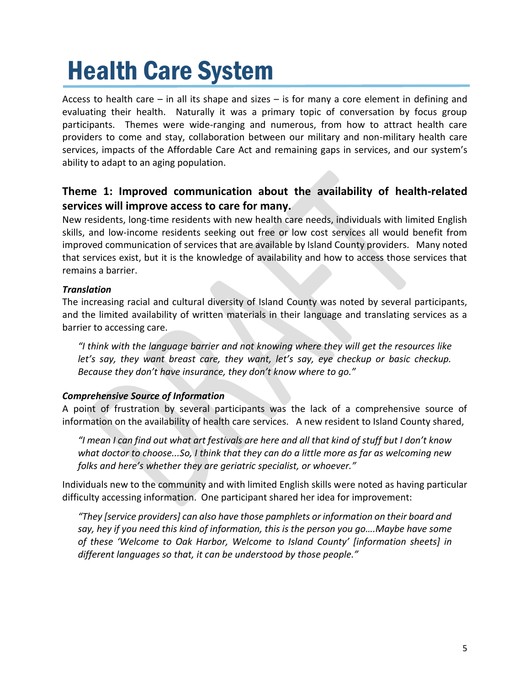## Health Care System

Access to health care  $-$  in all its shape and sizes  $-$  is for many a core element in defining and evaluating their health. Naturally it was a primary topic of conversation by focus group participants. Themes were wide-ranging and numerous, from how to attract health care providers to come and stay, collaboration between our military and non-military health care services, impacts of the Affordable Care Act and remaining gaps in services, and our system's ability to adapt to an aging population.

#### **Theme 1: Improved communication about the availability of health-related services will improve access to care for many.**

New residents, long-time residents with new health care needs, individuals with limited English skills, and low-income residents seeking out free or low cost services all would benefit from improved communication of services that are available by Island County providers. Many noted that services exist, but it is the knowledge of availability and how to access those services that remains a barrier.

#### *Translation*

The increasing racial and cultural diversity of Island County was noted by several participants, and the limited availability of written materials in their language and translating services as a barrier to accessing care.

*"I think with the language barrier and not knowing where they will get the resources like let's say, they want breast care, they want, let's say, eye checkup or basic checkup. Because they don't have insurance, they don't know where to go."*

#### *Comprehensive Source of Information*

A point of frustration by several participants was the lack of a comprehensive source of information on the availability of health care services. A new resident to Island County shared,

*"I mean I can find out what art festivals are here and all that kind of stuff but I don't know what doctor to choose...So, I think that they can do a little more as far as welcoming new folks and here's whether they are geriatric specialist, or whoever."*

Individuals new to the community and with limited English skills were noted as having particular difficulty accessing information. One participant shared her idea for improvement:

*"They [service providers] can also have those pamphlets or information on their board and say, hey if you need this kind of information, this is the person you go….Maybe have some of these 'Welcome to Oak Harbor, Welcome to Island County' [information sheets] in different languages so that, it can be understood by those people."*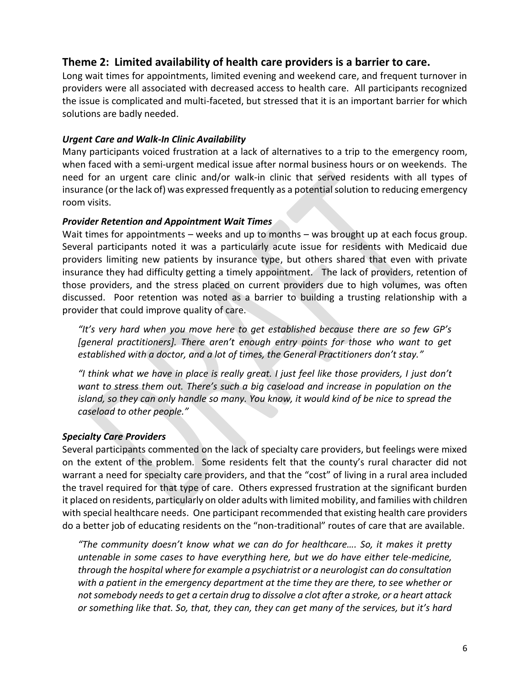#### **Theme 2: Limited availability of health care providers is a barrier to care.**

Long wait times for appointments, limited evening and weekend care, and frequent turnover in providers were all associated with decreased access to health care. All participants recognized the issue is complicated and multi-faceted, but stressed that it is an important barrier for which solutions are badly needed.

#### *Urgent Care and Walk-In Clinic Availability*

Many participants voiced frustration at a lack of alternatives to a trip to the emergency room, when faced with a semi-urgent medical issue after normal business hours or on weekends. The need for an urgent care clinic and/or walk-in clinic that served residents with all types of insurance (or the lack of) was expressed frequently as a potential solution to reducing emergency room visits.

#### *Provider Retention and Appointment Wait Times*

Wait times for appointments – weeks and up to months – was brought up at each focus group. Several participants noted it was a particularly acute issue for residents with Medicaid due providers limiting new patients by insurance type, but others shared that even with private insurance they had difficulty getting a timely appointment. The lack of providers, retention of those providers, and the stress placed on current providers due to high volumes, was often discussed. Poor retention was noted as a barrier to building a trusting relationship with a provider that could improve quality of care.

*"It's very hard when you move here to get established because there are so few GP's [general practitioners]. There aren't enough entry points for those who want to get established with a doctor, and a lot of times, the General Practitioners don't stay."*

*"I think what we have in place is really great. I just feel like those providers, I just don't want to stress them out. There's such a big caseload and increase in population on the island, so they can only handle so many. You know, it would kind of be nice to spread the caseload to other people."*

#### *Specialty Care Providers*

Several participants commented on the lack of specialty care providers, but feelings were mixed on the extent of the problem. Some residents felt that the county's rural character did not warrant a need for specialty care providers, and that the "cost" of living in a rural area included the travel required for that type of care. Others expressed frustration at the significant burden it placed on residents, particularly on older adults with limited mobility, and families with children with special healthcare needs. One participant recommended that existing health care providers do a better job of educating residents on the "non-traditional" routes of care that are available.

*"The community doesn't know what we can do for healthcare…. So, it makes it pretty untenable in some cases to have everything here, but we do have either tele-medicine, through the hospital where for example a psychiatrist or a neurologist can do consultation with a patient in the emergency department at the time they are there, to see whether or not somebody needs to get a certain drug to dissolve a clot after a stroke, or a heart attack or something like that. So, that, they can, they can get many of the services, but it's hard*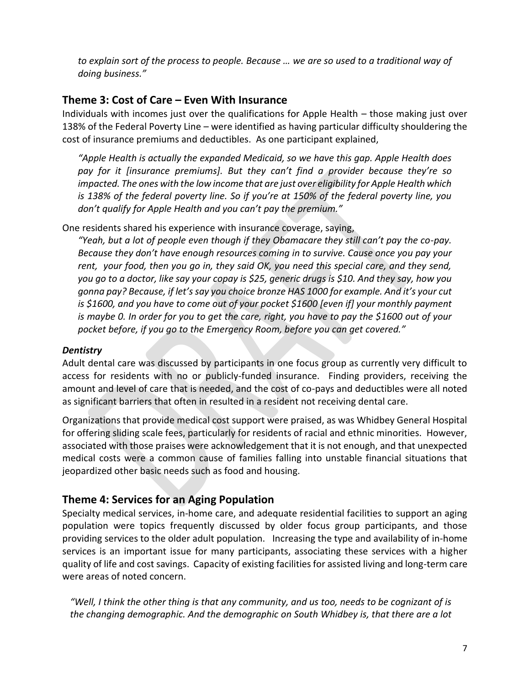*to explain sort of the process to people. Because … we are so used to a traditional way of doing business."*

#### **Theme 3: Cost of Care – Even With Insurance**

Individuals with incomes just over the qualifications for Apple Health – those making just over 138% of the Federal Poverty Line – were identified as having particular difficulty shouldering the cost of insurance premiums and deductibles. As one participant explained,

*"Apple Health is actually the expanded Medicaid, so we have this gap. Apple Health does pay for it [insurance premiums]. But they can't find a provider because they're so impacted. The ones with the low income that are just over eligibility for Apple Health which is 138% of the federal poverty line. So if you're at 150% of the federal poverty line, you don't qualify for Apple Health and you can't pay the premium."*

One residents shared his experience with insurance coverage, saying,

*"Yeah, but a lot of people even though if they Obamacare they still can't pay the co-pay. Because they don't have enough resources coming in to survive. Cause once you pay your rent, your food, then you go in, they said OK, you need this special care, and they send, you go to a doctor, like say your copay is \$25, generic drugs is \$10. And they say, how you gonna pay? Because, if let's say you choice bronze HAS 1000 for example. And it's your cut is \$1600, and you have to come out of your pocket \$1600 [even if] your monthly payment is maybe 0. In order for you to get the care, right, you have to pay the \$1600 out of your pocket before, if you go to the Emergency Room, before you can get covered."*

#### *Dentistry*

Adult dental care was discussed by participants in one focus group as currently very difficult to access for residents with no or publicly-funded insurance. Finding providers, receiving the amount and level of care that is needed, and the cost of co-pays and deductibles were all noted as significant barriers that often in resulted in a resident not receiving dental care.

Organizations that provide medical cost support were praised, as was Whidbey General Hospital for offering sliding scale fees, particularly for residents of racial and ethnic minorities. However, associated with those praises were acknowledgement that it is not enough, and that unexpected medical costs were a common cause of families falling into unstable financial situations that jeopardized other basic needs such as food and housing.

#### **Theme 4: Services for an Aging Population**

Specialty medical services, in-home care, and adequate residential facilities to support an aging population were topics frequently discussed by older focus group participants, and those providing services to the older adult population. Increasing the type and availability of in-home services is an important issue for many participants, associating these services with a higher quality of life and cost savings. Capacity of existing facilities for assisted living and long-term care were areas of noted concern.

*"Well, I think the other thing is that any community, and us too, needs to be cognizant of is the changing demographic. And the demographic on South Whidbey is, that there are a lot*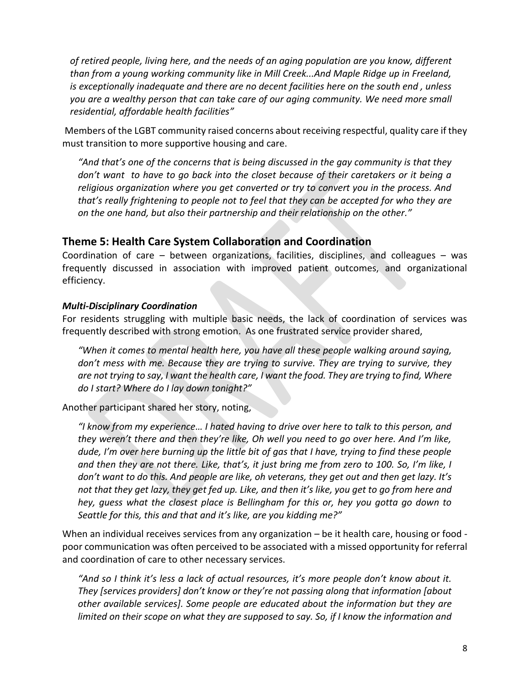*of retired people, living here, and the needs of an aging population are you know, different than from a young working community like in Mill Creek...And Maple Ridge up in Freeland, is exceptionally inadequate and there are no decent facilities here on the south end , unless you are a wealthy person that can take care of our aging community. We need more small residential, affordable health facilities"*

Members of the LGBT community raised concerns about receiving respectful, quality care if they must transition to more supportive housing and care.

*"And that's one of the concerns that is being discussed in the gay community is that they don't want to have to go back into the closet because of their caretakers or it being a religious organization where you get converted or try to convert you in the process. And that's really frightening to people not to feel that they can be accepted for who they are on the one hand, but also their partnership and their relationship on the other."*

#### **Theme 5: Health Care System Collaboration and Coordination**

Coordination of care – between organizations, facilities, disciplines, and colleagues – was frequently discussed in association with improved patient outcomes, and organizational efficiency.

#### *Multi-Disciplinary Coordination*

For residents struggling with multiple basic needs, the lack of coordination of services was frequently described with strong emotion. As one frustrated service provider shared,

*"When it comes to mental health here, you have all these people walking around saying, don't mess with me. Because they are trying to survive. They are trying to survive, they are not trying to say, I want the health care, I want the food. They are trying to find, Where do I start? Where do I lay down tonight?"*

Another participant shared her story, noting,

*"I know from my experience… I hated having to drive over here to talk to this person, and they weren't there and then they're like, Oh well you need to go over here. And I'm like, dude, I'm over here burning up the little bit of gas that I have, trying to find these people and then they are not there. Like, that's, it just bring me from zero to 100. So, I'm like, I don't want to do this. And people are like, oh veterans, they get out and then get lazy. It's not that they get lazy, they get fed up. Like, and then it's like, you get to go from here and hey, guess what the closest place is Bellingham for this or, hey you gotta go down to Seattle for this, this and that and it's like, are you kidding me?"*

When an individual receives services from any organization – be it health care, housing or food poor communication was often perceived to be associated with a missed opportunity for referral and coordination of care to other necessary services.

*"And so I think it's less a lack of actual resources, it's more people don't know about it. They [services providers] don't know or they're not passing along that information [about other available services]. Some people are educated about the information but they are limited on their scope on what they are supposed to say. So, if I know the information and*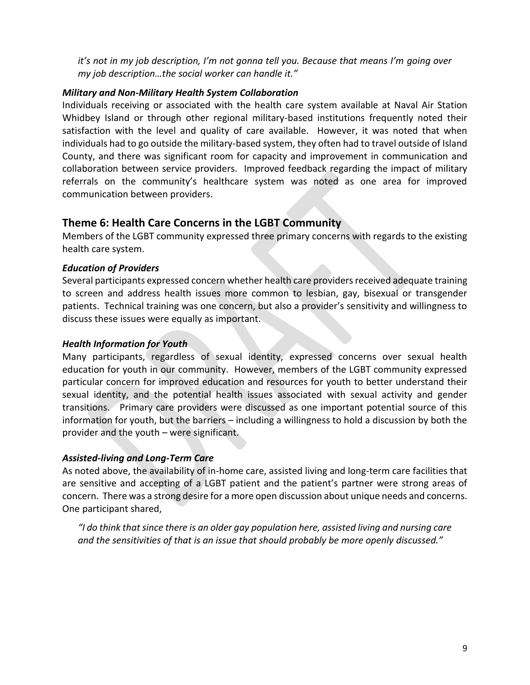*it's not in my job description, I'm not gonna tell you. Because that means I'm going over my job description…the social worker can handle it."*

#### *Military and Non-Military Health System Collaboration*

Individuals receiving or associated with the health care system available at Naval Air Station Whidbey Island or through other regional military-based institutions frequently noted their satisfaction with the level and quality of care available. However, it was noted that when individuals had to go outside the military-based system, they often had to travel outside of Island County, and there was significant room for capacity and improvement in communication and collaboration between service providers. Improved feedback regarding the impact of military referrals on the community's healthcare system was noted as one area for improved communication between providers.

#### **Theme 6: Health Care Concerns in the LGBT Community**

Members of the LGBT community expressed three primary concerns with regards to the existing health care system.

#### *Education of Providers*

Several participants expressed concern whether health care providers received adequate training to screen and address health issues more common to lesbian, gay, bisexual or transgender patients. Technical training was one concern, but also a provider's sensitivity and willingness to discuss these issues were equally as important.

#### *Health Information for Youth*

Many participants, regardless of sexual identity, expressed concerns over sexual health education for youth in our community. However, members of the LGBT community expressed particular concern for improved education and resources for youth to better understand their sexual identity, and the potential health issues associated with sexual activity and gender transitions. Primary care providers were discussed as one important potential source of this information for youth, but the barriers – including a willingness to hold a discussion by both the provider and the youth – were significant.

#### *Assisted-living and Long-Term Care*

As noted above, the availability of in-home care, assisted living and long-term care facilities that are sensitive and accepting of a LGBT patient and the patient's partner were strong areas of concern. There was a strong desire for a more open discussion about unique needs and concerns. One participant shared,

*"I do think that since there is an older gay population here, assisted living and nursing care and the sensitivities of that is an issue that should probably be more openly discussed."*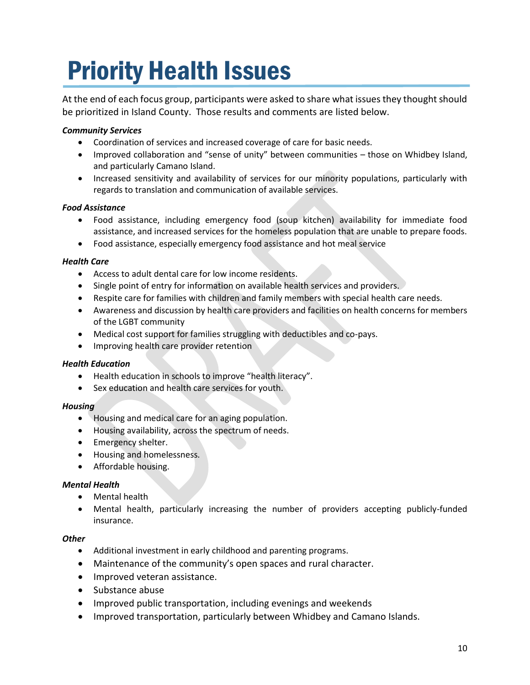## Priority Health Issues

At the end of each focus group, participants were asked to share what issues they thought should be prioritized in Island County. Those results and comments are listed below.

#### *Community Services*

- Coordination of services and increased coverage of care for basic needs.
- Improved collaboration and "sense of unity" between communities those on Whidbey Island, and particularly Camano Island.
- Increased sensitivity and availability of services for our minority populations, particularly with regards to translation and communication of available services.

#### *Food Assistance*

- Food assistance, including emergency food (soup kitchen) availability for immediate food assistance, and increased services for the homeless population that are unable to prepare foods.
- Food assistance, especially emergency food assistance and hot meal service

#### *Health Care*

- Access to adult dental care for low income residents.
- Single point of entry for information on available health services and providers.
- Respite care for families with children and family members with special health care needs.
- Awareness and discussion by health care providers and facilities on health concerns for members of the LGBT community
- Medical cost support for families struggling with deductibles and co-pays.
- Improving health care provider retention

#### *Health Education*

- Health education in schools to improve "health literacy".
- Sex education and health care services for youth.

#### *Housing*

- Housing and medical care for an aging population.
- Housing availability, across the spectrum of needs.
- Emergency shelter.
- Housing and homelessness.
- Affordable housing.

#### *Mental Health*

- Mental health
- Mental health, particularly increasing the number of providers accepting publicly-funded insurance.

#### *Other*

- Additional investment in early childhood and parenting programs.
- Maintenance of the community's open spaces and rural character.
- Improved veteran assistance.
- Substance abuse
- Improved public transportation, including evenings and weekends
- Improved transportation, particularly between Whidbey and Camano Islands.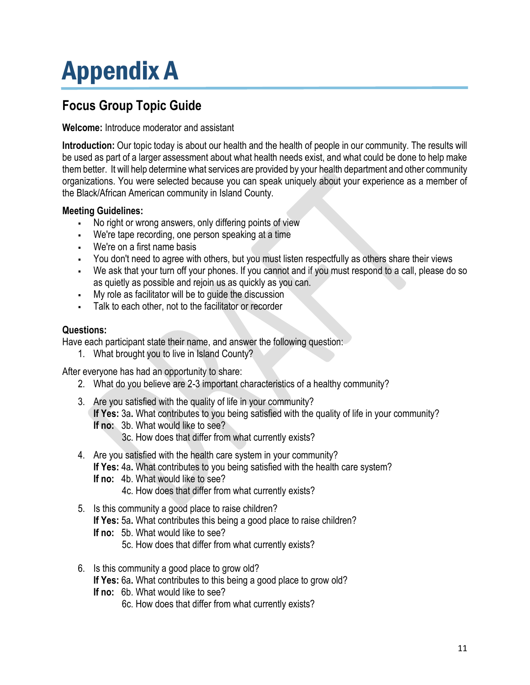## Appendix A

### **Focus Group Topic Guide**

#### **Welcome:** Introduce moderator and assistant

**Introduction:** Our topic today is about our health and the health of people in our community. The results will be used as part of a larger assessment about what health needs exist, and what could be done to help make them better. It will help determine what services are provided by your health department and other community organizations. You were selected because you can speak uniquely about your experience as a member of the Black/African American community in Island County.

#### **Meeting Guidelines:**

- No right or wrong answers, only differing points of view
- We're tape recording, one person speaking at a time
- We're on a first name basis
- You don't need to agree with others, but you must listen respectfully as others share their views
- We ask that your turn off your phones. If you cannot and if you must respond to a call, please do so as quietly as possible and rejoin us as quickly as you can.
- My role as facilitator will be to guide the discussion
- Talk to each other, not to the facilitator or recorder

#### **Questions:**

Have each participant state their name, and answer the following question:

1. What brought you to live in Island County?

After everyone has had an opportunity to share:

- 2. What do you believe are 2-3 important characteristics of a healthy community?
- 3. Are you satisfied with the quality of life in your community? **If Yes:** 3a**.** What contributes to you being satisfied with the quality of life in your community? **If no:** 3b. What would like to see? 3c. How does that differ from what currently exists?
	-
- 4. Are you satisfied with the health care system in your community? **If Yes:** 4a**.** What contributes to you being satisfied with the health care system?
	- **If no:** 4b. What would like to see?
		- 4c. How does that differ from what currently exists?
- 5. Is this community a good place to raise children? **If Yes:** 5a**.** What contributes this being a good place to raise children? **If no:** 5b. What would like to see?
	- 5c. How does that differ from what currently exists?
- 6. Is this community a good place to grow old?
	- **If Yes:** 6a**.** What contributes to this being a good place to grow old?
	- **If no:** 6b. What would like to see?
		- 6c. How does that differ from what currently exists?